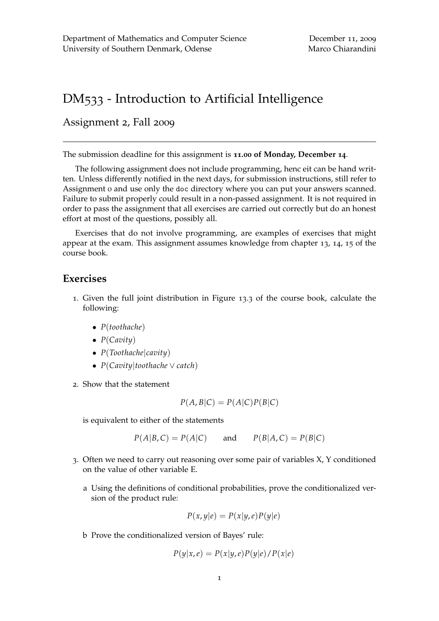## DM533 - Introduction to Artificial Intelligence

Assignment 2, Fall 2009

The submission deadline for this assignment is **11.00 of Monday, December 14**.

The following assignment does not include programming, henc eit can be hand written. Unless differently notified in the next days, for submission instructions, still refer to Assignment 0 and use only the doc directory where you can put your answers scanned. Failure to submit properly could result in a non-passed assignment. It is not required in order to pass the assignment that all exercises are carried out correctly but do an honest effort at most of the questions, possibly all.

Exercises that do not involve programming, are examples of exercises that might appear at the exam. This assignment assumes knowledge from chapter 13, 14, 15 of the course book.

## **Exercises**

- 1. Given the full joint distribution in Figure 13.3 of the course book, calculate the following:
	- *P*(*toothache*)
	- *P*(*Cavity*)
	- *P*(*Toothache*|*cavity*)
	- *P*(*Cavity*|*toothache* ∨ *catch*)
- 2. Show that the statement

$$
P(A, B|C) = P(A|C)P(B|C)
$$

is equivalent to either of the statements

$$
P(A|B,C) = P(A|C)
$$
 and  $P(B|A,C) = P(B|C)$ 

- 3. Often we need to carry out reasoning over some pair of variables X, Y conditioned on the value of other variable E.
	- a Using the definitions of conditional probabilities, prove the conditionalized version of the product rule:

$$
P(x,y|e) = P(x|y,e)P(y|e)
$$

b Prove the conditionalized version of Bayes' rule:

$$
P(y|x,e) = P(x|y,e)P(y|e)/P(x|e)
$$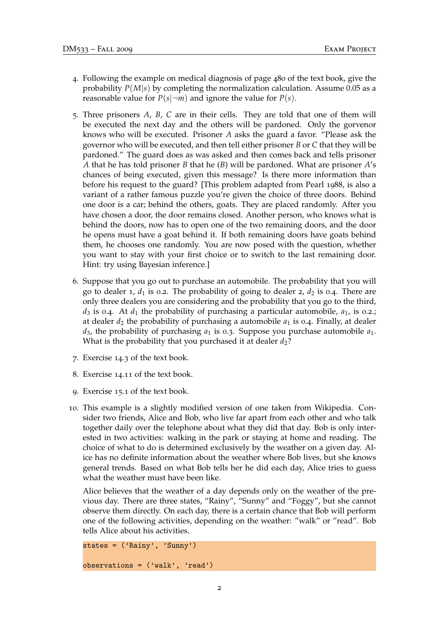- 4. Following the example on medical diagnosis of page 480 of the text book, give the probability  $P(M|s)$  by completing the normalization calculation. Assume 0.05 as a reasonable value for  $P(s|\neg m)$  and ignore the value for  $P(s)$ .
- 5. Three prisoners *A*, *B*, *C* are in their cells. They are told that one of them will be executed the next day and the others will be pardoned. Only the gorvenor knows who will be executed. Prisoner *A* asks the guard a favor. "Please ask the governor who will be executed, and then tell either prisoner *B* or *C* that they will be pardoned." The guard does as was asked and then comes back and tells prisoner *A* that he has told prisoner *B* that he (*B*) will be pardoned. What are prisoner *A*'s chances of being executed, given this message? Is there more information than before his request to the guard? [This problem adapted from Pearl 1988, is also a variant of a rather famous puzzle you're given the choice of three doors. Behind one door is a car; behind the others, goats. They are placed randomly. After you have chosen a door, the door remains closed. Another person, who knows what is behind the doors, now has to open one of the two remaining doors, and the door he opens must have a goat behind it. If both remaining doors have goats behind them, he chooses one randomly. You are now posed with the question, whether you want to stay with your first choice or to switch to the last remaining door. Hint: try using Bayesian inference.]
- 6. Suppose that you go out to purchase an automobile. The probability that you will go to dealer 1,  $d_1$  is 0.2. The probability of going to dealer 2,  $d_2$  is 0.4. There are only three dealers you are considering and the probability that you go to the third,  $d_3$  is 0.4. At  $d_1$  the probability of purchasing a particular automobile,  $a_1$ , is 0.2.; at dealer *d*<sup>2</sup> the probability of purchasing a automobile *a*<sup>1</sup> is 0.4. Finally, at dealer  $d_3$ , the probability of purchasing  $a_1$  is 0.3. Suppose you purchase automobile  $a_1$ . What is the probability that you purchased it at dealer  $d_2$ ?
- 7. Exercise 14.3 of the text book.
- 8. Exercise 14.11 of the text book.
- 9. Exercise 15.1 of the text book.
- 10. This example is a slightly modified version of one taken from Wikipedia. Consider two friends, Alice and Bob, who live far apart from each other and who talk together daily over the telephone about what they did that day. Bob is only interested in two activities: walking in the park or staying at home and reading. The choice of what to do is determined exclusively by the weather on a given day. Alice has no definite information about the weather where Bob lives, but she knows general trends. Based on what Bob tells her he did each day, Alice tries to guess what the weather must have been like.

Alice believes that the weather of a day depends only on the weather of the previous day. There are three states, "Rainy", "Sunny" and "Foggy", but she cannot observe them directly. On each day, there is a certain chance that Bob will perform one of the following activities, depending on the weather: "walk" or "read". Bob tells Alice about his activities.

```
states = ('Rainy', 'Sunny')observation = ('walk', 'read')
```